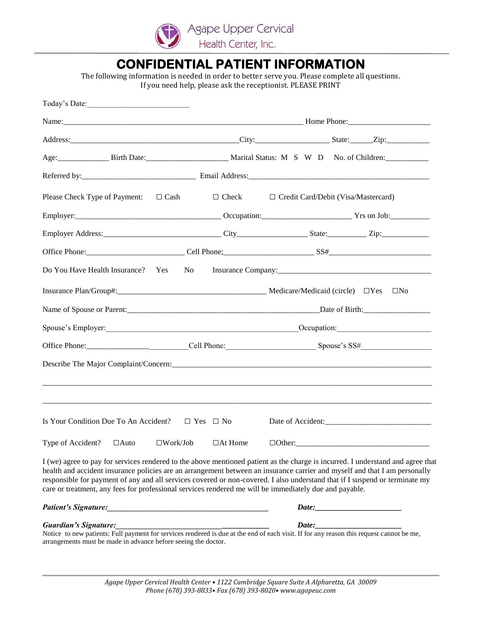

### **CONFIDENTIAL PATIENT INFORMATION**

The following information is needed in order to better serve you. Please complete all questions. If you need help, please ask the receptionist. PLEASE PRINT

| Today's Date:                                                                                                                                                                                                                                                                                                                                                                                                                                                                                          |                |                                                         |                      |  |  |  |
|--------------------------------------------------------------------------------------------------------------------------------------------------------------------------------------------------------------------------------------------------------------------------------------------------------------------------------------------------------------------------------------------------------------------------------------------------------------------------------------------------------|----------------|---------------------------------------------------------|----------------------|--|--|--|
|                                                                                                                                                                                                                                                                                                                                                                                                                                                                                                        |                |                                                         |                      |  |  |  |
|                                                                                                                                                                                                                                                                                                                                                                                                                                                                                                        |                |                                                         |                      |  |  |  |
| Age: Birth Date: Birth Date: Marital Status: M S W D No. of Children:                                                                                                                                                                                                                                                                                                                                                                                                                                  |                |                                                         |                      |  |  |  |
|                                                                                                                                                                                                                                                                                                                                                                                                                                                                                                        |                |                                                         |                      |  |  |  |
| Please Check Type of Payment: $\Box$ Cash                                                                                                                                                                                                                                                                                                                                                                                                                                                              |                | $\Box$ Check $\Box$ Credit Card/Debit (Visa/Mastercard) |                      |  |  |  |
|                                                                                                                                                                                                                                                                                                                                                                                                                                                                                                        |                |                                                         |                      |  |  |  |
|                                                                                                                                                                                                                                                                                                                                                                                                                                                                                                        |                |                                                         |                      |  |  |  |
|                                                                                                                                                                                                                                                                                                                                                                                                                                                                                                        |                |                                                         |                      |  |  |  |
| Do You Have Health Insurance? Yes                                                                                                                                                                                                                                                                                                                                                                                                                                                                      | No             |                                                         |                      |  |  |  |
| Insurance Plan/Group#: Medicare/Medicard (circle) □ Yes                                                                                                                                                                                                                                                                                                                                                                                                                                                |                |                                                         | $\square$ No         |  |  |  |
| Name of Spouse or Parent: Date of Birth: Date of Birth:                                                                                                                                                                                                                                                                                                                                                                                                                                                |                |                                                         |                      |  |  |  |
| Spouse's Employer: Contact Contact Contact Contact Contact Contact Contact Contact Contact Contact Contact Contact Contact Contact Contact Contact Contact Contact Contact Contact Contact Contact Contact Contact Contact Con                                                                                                                                                                                                                                                                         |                |                                                         |                      |  |  |  |
|                                                                                                                                                                                                                                                                                                                                                                                                                                                                                                        |                |                                                         |                      |  |  |  |
|                                                                                                                                                                                                                                                                                                                                                                                                                                                                                                        |                |                                                         |                      |  |  |  |
| Is Your Condition Due To An Accident? $\square$ Yes $\square$ No                                                                                                                                                                                                                                                                                                                                                                                                                                       |                |                                                         |                      |  |  |  |
| Type of Accident? $\Box$ Auto $\Box$ Work/Job                                                                                                                                                                                                                                                                                                                                                                                                                                                          | $\Box$ At Home |                                                         | $\Box$ $\Box$ $\Box$ |  |  |  |
| I (we) agree to pay for services rendered to the above mentioned patient as the charge is incurred. I understand and agree that<br>health and accident insurance policies are an arrangement between an insurance carrier and myself and that I am personally<br>responsible for payment of any and all services covered or non-covered. I also understand that if I suspend or terminate my<br>care or treatment, any fees for professional services rendered me will be immediately due and payable. |                |                                                         |                      |  |  |  |
| Patient's Signature: example and the set of the set of the set of the set of the set of the set of the set of the set of the set of the set of the set of the set of the set of the set of the set of the set of the set of th                                                                                                                                                                                                                                                                         |                |                                                         |                      |  |  |  |
| <b>Guardian's Signature:</b><br>Notice to new patients: Full payment for services rendered is due at the end of each visit. If for any reason this request cannot be me,<br>arrangements must be made in advance before seeing the doctor.                                                                                                                                                                                                                                                             |                |                                                         |                      |  |  |  |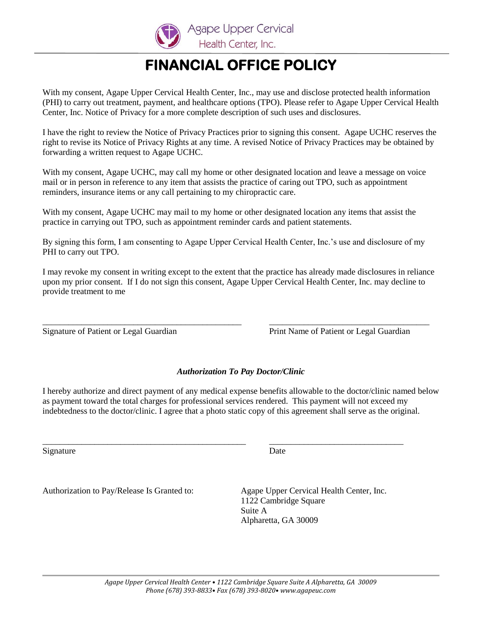

# **FINANCIAL OFFICE POLICY**

With my consent, Agape Upper Cervical Health Center, Inc., may use and disclose protected health information (PHI) to carry out treatment, payment, and healthcare options (TPO). Please refer to Agape Upper Cervical Health Center, Inc. Notice of Privacy for a more complete description of such uses and disclosures.

I have the right to review the Notice of Privacy Practices prior to signing this consent. Agape UCHC reserves the right to revise its Notice of Privacy Rights at any time. A revised Notice of Privacy Practices may be obtained by forwarding a written request to Agape UCHC.

With my consent, Agape UCHC, may call my home or other designated location and leave a message on voice mail or in person in reference to any item that assists the practice of caring out TPO, such as appointment reminders, insurance items or any call pertaining to my chiropractic care.

With my consent, Agape UCHC may mail to my home or other designated location any items that assist the practice in carrying out TPO, such as appointment reminder cards and patient statements.

By signing this form, I am consenting to Agape Upper Cervical Health Center, Inc.'s use and disclosure of my PHI to carry out TPO.

I may revoke my consent in writing except to the extent that the practice has already made disclosures in reliance upon my prior consent. If I do not sign this consent, Agape Upper Cervical Health Center, Inc. may decline to provide treatment to me

\_\_\_\_\_\_\_\_\_\_\_\_\_\_\_\_\_\_\_\_\_\_\_\_\_\_\_\_\_\_\_\_\_\_\_\_\_\_\_\_\_\_\_\_\_\_ \_\_\_\_\_\_\_\_\_\_\_\_\_\_\_\_\_\_\_\_\_\_\_\_\_\_\_\_\_\_\_\_\_\_\_\_\_

Signature of Patient or Legal Guardian Print Name of Patient or Legal Guardian

#### *Authorization To Pay Doctor/Clinic*

I hereby authorize and direct payment of any medical expense benefits allowable to the doctor/clinic named below as payment toward the total charges for professional services rendered. This payment will not exceed my indebtedness to the doctor/clinic. I agree that a photo static copy of this agreement shall serve as the original.

\_\_\_\_\_\_\_\_\_\_\_\_\_\_\_\_\_\_\_\_\_\_\_\_\_\_\_\_\_\_\_\_\_\_\_\_\_\_\_\_\_\_\_\_\_\_\_ \_\_\_\_\_\_\_\_\_\_\_\_\_\_\_\_\_\_\_\_\_\_\_\_\_\_\_\_\_\_\_

Signature Date

Authorization to Pay/Release Is Granted to: Agape Upper Cervical Health Center, Inc.

1122 Cambridge Square Suite A Alpharetta, GA 30009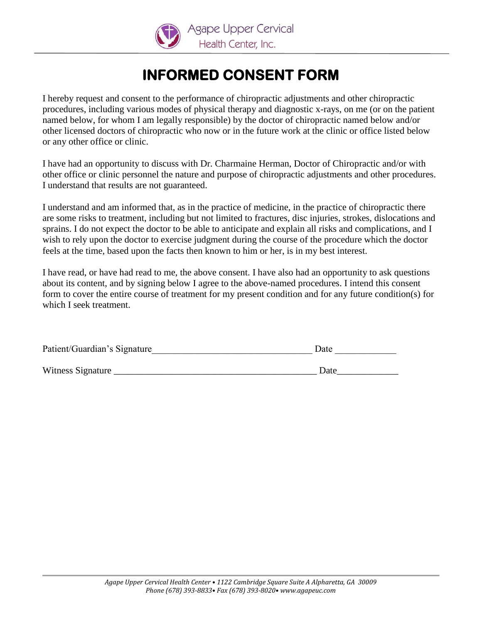

## **INFORMED CONSENT FORM**

I hereby request and consent to the performance of chiropractic adjustments and other chiropractic procedures, including various modes of physical therapy and diagnostic x-rays, on me (or on the patient named below, for whom I am legally responsible) by the doctor of chiropractic named below and/or other licensed doctors of chiropractic who now or in the future work at the clinic or office listed below or any other office or clinic.

I have had an opportunity to discuss with Dr. Charmaine Herman, Doctor of Chiropractic and/or with other office or clinic personnel the nature and purpose of chiropractic adjustments and other procedures. I understand that results are not guaranteed.

I understand and am informed that, as in the practice of medicine, in the practice of chiropractic there are some risks to treatment, including but not limited to fractures, disc injuries, strokes, dislocations and sprains. I do not expect the doctor to be able to anticipate and explain all risks and complications, and I wish to rely upon the doctor to exercise judgment during the course of the procedure which the doctor feels at the time, based upon the facts then known to him or her, is in my best interest.

I have read, or have had read to me, the above consent. I have also had an opportunity to ask questions about its content, and by signing below I agree to the above-named procedures. I intend this consent form to cover the entire course of treatment for my present condition and for any future condition(s) for which I seek treatment.

| Patient/Guardian's Signature | Date |  |
|------------------------------|------|--|
|                              |      |  |

Witness Signature \_\_\_\_\_\_\_\_\_\_\_\_\_\_\_\_\_\_\_\_\_\_\_\_\_\_\_\_\_\_\_\_\_\_\_\_\_\_\_\_\_\_\_ Date\_\_\_\_\_\_\_\_\_\_\_\_\_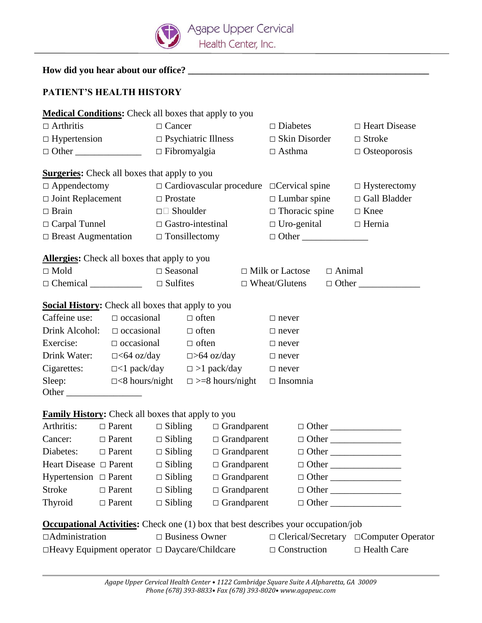

| How did you hear about our office? |  |
|------------------------------------|--|
|                                    |  |

### **PATIENT'S HEALTH HISTORY**

| <b>Medical Conditions:</b> Check all boxes that apply to you                              |               |                          |                                        |                                                                |                        |                                                                           |                      |                     |                 |                                          |  |
|-------------------------------------------------------------------------------------------|---------------|--------------------------|----------------------------------------|----------------------------------------------------------------|------------------------|---------------------------------------------------------------------------|----------------------|---------------------|-----------------|------------------------------------------|--|
| $\Box$ Arthritis                                                                          | $\Box$ Cancer |                          |                                        |                                                                |                        | $\Box$ Diabetes                                                           |                      |                     | □ Heart Disease |                                          |  |
| $\Box$ Hypertension $\Box$ Psychiatric Illness                                            |               |                          |                                        |                                                                |                        |                                                                           | $\Box$ Skin Disorder |                     | $\Box$ Stroke   |                                          |  |
| $\Box$ Other                                                                              |               |                          | $\Box$ Fibromyalgia                    |                                                                | $\Box$ Asthma          |                                                                           |                      | $\Box$ Osteoporosis |                 |                                          |  |
| <b>Surgeries:</b> Check all boxes that apply to you                                       |               |                          |                                        |                                                                |                        |                                                                           |                      |                     |                 |                                          |  |
| $\Box$ Appendectomy                                                                       |               |                          |                                        |                                                                |                        | $\Box$ Cardiovascular procedure $\Box$ Cervical spine $\Box$ Hysterectomy |                      |                     |                 |                                          |  |
| $\Box$ Joint Replacement $\Box$ Prostate                                                  |               |                          |                                        |                                                                |                        | $\Box$ Lumbar spine                                                       |                      | □ Gall Bladder      |                 |                                          |  |
| $\Box$ Brain                                                                              |               |                          | $\square$ Shoulder                     |                                                                |                        |                                                                           |                      |                     |                 | $\Box$ Thoracic spine $\Box$ Knee        |  |
| $\Box$ Carpal Tunnel                                                                      |               | $\Box$ Gastro-intestinal |                                        |                                                                |                        |                                                                           |                      |                     |                 | $\Box$ Uro-genital $\Box$ Hernia         |  |
| $\Box$ Breast Augmentation $\Box$ Tonsillectomy                                           |               |                          |                                        |                                                                |                        |                                                                           | $\Box$ Other         |                     |                 |                                          |  |
| <b>Allergies:</b> Check all boxes that apply to you                                       |               |                          |                                        |                                                                |                        |                                                                           |                      |                     |                 |                                          |  |
| $\Box$ Mold                                                                               |               |                          | $\Box$ Seasonal $\Box$ Milk or Lactose |                                                                |                        |                                                                           |                      |                     | $\Box$ Animal   |                                          |  |
| $\Box$ Chemical $\Box$ $\Box$ Sulfites                                                    |               |                          |                                        |                                                                |                        |                                                                           | $\Box$ Wheat/Glutens |                     |                 | $\Box$ Other                             |  |
| <b>Social History:</b> Check all boxes that apply to you                                  |               |                          |                                        |                                                                |                        |                                                                           |                      |                     |                 |                                          |  |
| Caffeine use: $\Box$ occasional                                                           |               |                          |                                        | $\Box$ often                                                   |                        | $\Box$ never                                                              |                      |                     |                 |                                          |  |
| Drink Alcohol: $\Box$ occasional                                                          |               |                          |                                        | $\Box$ often                                                   |                        | $\Box$ never                                                              |                      |                     |                 |                                          |  |
| Exercise: $\Box$ occasional                                                               |               |                          |                                        | $\Box$ often                                                   |                        | $\Box$ never                                                              |                      |                     |                 |                                          |  |
|                                                                                           |               |                          |                                        | Drink Water: □<64 oz/day □>64 oz/day □ never                   |                        |                                                                           |                      |                     |                 |                                          |  |
|                                                                                           |               |                          |                                        | Cigarettes: $\Box$ <1 pack/day $\Box$ >1 pack/day $\Box$ never |                        |                                                                           |                      |                     |                 |                                          |  |
| Sleep: $\Box$ <8 hours/night<br>Other                                                     |               |                          |                                        |                                                                | $\Box$ >=8 hours/night |                                                                           | $\Box$ Insomnia      |                     |                 |                                          |  |
|                                                                                           |               |                          |                                        |                                                                |                        |                                                                           |                      |                     |                 |                                          |  |
| <b>Family History:</b> Check all boxes that apply to you                                  |               |                          |                                        |                                                                |                        |                                                                           |                      |                     |                 |                                          |  |
|                                                                                           |               |                          |                                        |                                                                |                        | Arthritis: □ Parent □ Sibling □ Grandparent □ Other ______________        |                      |                     |                 |                                          |  |
| Cancer: $\Box$ Parent $\Box$ Sibling $\Box$ Grandparent                                   |               |                          |                                        |                                                                |                        |                                                                           |                      |                     |                 |                                          |  |
| Diabetes: $\Box$ Parent $\Box$ Sibling $\Box$ Grandparent                                 |               |                          |                                        |                                                                |                        |                                                                           |                      |                     |                 | $\Box$ Other                             |  |
| Heart Disease $\Box$ Parent                                                               |               |                          | $\Box$ Sibling                         |                                                                | $\Box$ Grandparent     |                                                                           |                      |                     |                 |                                          |  |
| Hypertension $\Box$ Parent                                                                |               |                          | $\Box$ Sibling                         |                                                                | $\Box$ Grandparent     |                                                                           |                      |                     |                 |                                          |  |
| <b>Stroke</b>                                                                             |               | $\Box$ Parent            |                                        | $\Box$ Grandparent<br>$\Box$ Sibling                           |                        |                                                                           |                      |                     |                 |                                          |  |
| Thyroid                                                                                   |               | $\Box$ Parent            | $\Box$ Sibling                         |                                                                | $\Box$ Grandparent     |                                                                           |                      |                     |                 |                                          |  |
| <b>Occupational Activities:</b> Check one (1) box that best describes your occupation/job |               |                          |                                        |                                                                |                        |                                                                           |                      |                     |                 |                                          |  |
| □Administration                                                                           |               |                          | $\Box$ Business Owner                  |                                                                |                        |                                                                           |                      |                     |                 | □ Clerical/Secretary □ Computer Operator |  |
| $\Box$ Heavy Equipment operator $\Box$ Daycare/Childcare                                  |               |                          |                                        | $\Box$ Construction                                            |                        | $\Box$ Health Care                                                        |                      |                     |                 |                                          |  |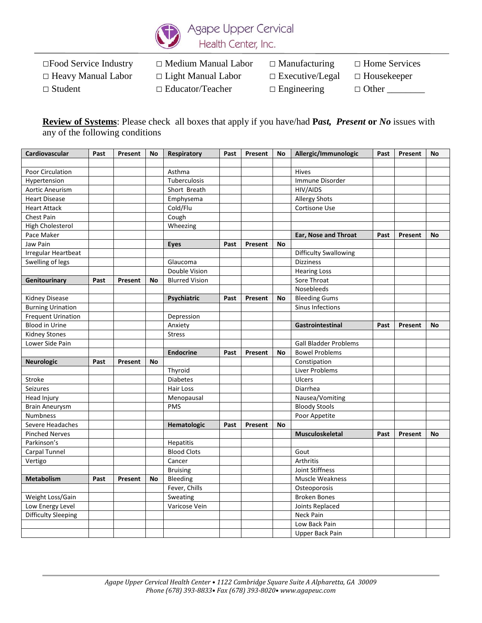

□Food Service Industry □ Medium Manual Labor □ Manufacturing □ Home Services □ Heavy Manual Labor □ Light Manual Labor □ Executive/Legal □ Housekeeper

□ Student □ Educator/Teacher □ Engineering □ Other \_\_\_\_\_\_\_

**Review of Systems**: Please check all boxes that apply if you have/had **P***ast, Present* **or** *No* issues with any of the following conditions

| <b>Cardiovascular</b>      | Past | Present | <b>No</b> | Respiratory           | Past | Present | <b>No</b> | Allergic/Immunologic         | Past | Present | No |
|----------------------------|------|---------|-----------|-----------------------|------|---------|-----------|------------------------------|------|---------|----|
|                            |      |         |           |                       |      |         |           |                              |      |         |    |
| Poor Circulation           |      |         |           | Asthma                |      |         |           | Hives                        |      |         |    |
| Hypertension               |      |         |           | Tuberculosis          |      |         |           | Immune Disorder              |      |         |    |
| <b>Aortic Aneurism</b>     |      |         |           | Short Breath          |      |         |           | HIV/AIDS                     |      |         |    |
| <b>Heart Disease</b>       |      |         |           | Emphysema             |      |         |           | <b>Allergy Shots</b>         |      |         |    |
| <b>Heart Attack</b>        |      |         |           | Cold/Flu              |      |         |           | Cortisone Use                |      |         |    |
| Chest Pain                 |      |         |           | Cough                 |      |         |           |                              |      |         |    |
| High Cholesterol           |      |         |           | Wheezing              |      |         |           |                              |      |         |    |
| Pace Maker                 |      |         |           |                       |      |         |           | Ear, Nose and Throat         | Past | Present | No |
| Jaw Pain                   |      |         |           | <b>Eyes</b>           | Past | Present | <b>No</b> |                              |      |         |    |
| <b>Irregular Heartbeat</b> |      |         |           |                       |      |         |           | <b>Difficulty Swallowing</b> |      |         |    |
| Swelling of legs           |      |         |           | Glaucoma              |      |         |           | <b>Dizziness</b>             |      |         |    |
|                            |      |         |           | Double Vision         |      |         |           | <b>Hearing Loss</b>          |      |         |    |
| Genitourinary              | Past | Present | No        | <b>Blurred Vision</b> |      |         |           | Sore Throat                  |      |         |    |
|                            |      |         |           |                       |      |         |           | Nosebleeds                   |      |         |    |
| <b>Kidney Disease</b>      |      |         |           | Psychiatric           | Past | Present | No        | <b>Bleeding Gums</b>         |      |         |    |
| <b>Burning Urination</b>   |      |         |           |                       |      |         |           | Sinus Infections             |      |         |    |
| <b>Frequent Urination</b>  |      |         |           | Depression            |      |         |           |                              |      |         |    |
| <b>Blood in Urine</b>      |      |         |           | Anxiety               |      |         |           | Gastrointestinal             | Past | Present | No |
| <b>Kidney Stones</b>       |      |         |           | <b>Stress</b>         |      |         |           |                              |      |         |    |
| Lower Side Pain            |      |         |           |                       |      |         |           | <b>Gall Bladder Problems</b> |      |         |    |
|                            |      |         |           | <b>Endocrine</b>      | Past | Present | No        | <b>Bowel Problems</b>        |      |         |    |
| <b>Neurologic</b>          | Past | Present | <b>No</b> |                       |      |         |           | Constipation                 |      |         |    |
|                            |      |         |           | Thyroid               |      |         |           | Liver Problems               |      |         |    |
| Stroke                     |      |         |           | <b>Diabetes</b>       |      |         |           | Ulcers                       |      |         |    |
| <b>Seizures</b>            |      |         |           | Hair Loss             |      |         |           | Diarrhea                     |      |         |    |
| Head Injury                |      |         |           | Menopausal            |      |         |           | Nausea/Vomiting              |      |         |    |
| <b>Brain Aneurysm</b>      |      |         |           | PMS                   |      |         |           | <b>Bloody Stools</b>         |      |         |    |
| <b>Numbness</b>            |      |         |           |                       |      |         |           | Poor Appetite                |      |         |    |
| Severe Headaches           |      |         |           | Hematologic           | Past | Present | No        |                              |      |         |    |
| <b>Pinched Nerves</b>      |      |         |           |                       |      |         |           | <b>Musculoskeletal</b>       | Past | Present | No |
| Parkinson's                |      |         |           | Hepatitis             |      |         |           |                              |      |         |    |
| Carpal Tunnel              |      |         |           | <b>Blood Clots</b>    |      |         |           | Gout                         |      |         |    |
| Vertigo                    |      |         |           | Cancer                |      |         |           | Arthritis                    |      |         |    |
|                            |      |         |           | <b>Bruising</b>       |      |         |           | Joint Stiffness              |      |         |    |
| <b>Metabolism</b>          | Past | Present | No        | Bleeding              |      |         |           | Muscle Weakness              |      |         |    |
|                            |      |         |           | Fever, Chills         |      |         |           | Osteoporosis                 |      |         |    |
| Weight Loss/Gain           |      |         |           | Sweating              |      |         |           | <b>Broken Bones</b>          |      |         |    |
| Low Energy Level           |      |         |           | Varicose Vein         |      |         |           | Joints Replaced              |      |         |    |
| <b>Difficulty Sleeping</b> |      |         |           |                       |      |         |           | Neck Pain                    |      |         |    |
|                            |      |         |           |                       |      |         |           | Low Back Pain                |      |         |    |
|                            |      |         |           |                       |      |         |           | Upper Back Pain              |      |         |    |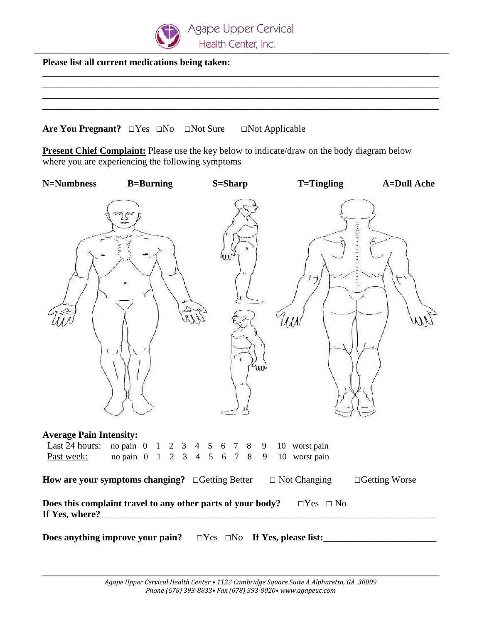

**Please list all current medications being taken:**

**Are You Pregnant?** □Yes □No □Not Sure □Not Applicable

**Present Chief Complaint:** Please use the key below to indicate/draw on the body diagram below where you are experiencing the following symptoms